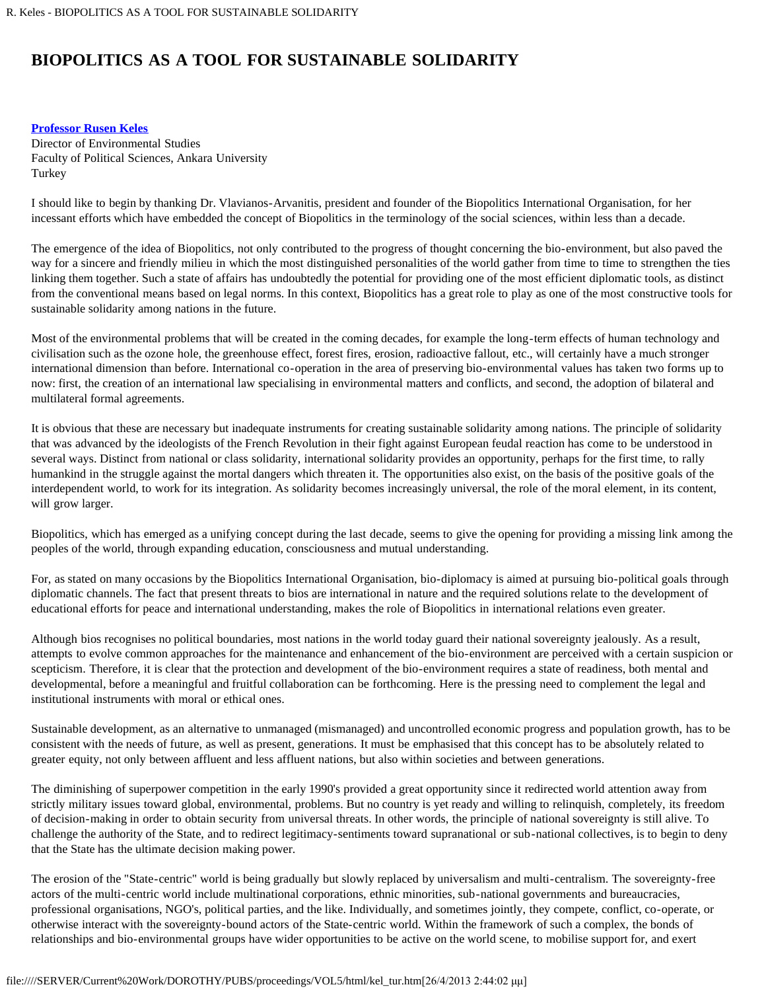## **BIOPOLITICS AS A TOOL FOR SUSTAINABLE SOLIDARITY**

## **[Professor Rusen Keles](#page-1-0)**

Director of Environmental Studies Faculty of Political Sciences, Ankara University Turkey

I should like to begin by thanking Dr. Vlavianos-Arvanitis, president and founder of the Biopolitics International Organisation, for her incessant efforts which have embedded the concept of Biopolitics in the terminology of the social sciences, within less than a decade.

The emergence of the idea of Biopolitics, not only contributed to the progress of thought concerning the bio-environment, but also paved the way for a sincere and friendly milieu in which the most distinguished personalities of the world gather from time to time to strengthen the ties linking them together. Such a state of affairs has undoubtedly the potential for providing one of the most efficient diplomatic tools, as distinct from the conventional means based on legal norms. In this context, Biopolitics has a great role to play as one of the most constructive tools for sustainable solidarity among nations in the future.

Most of the environmental problems that will be created in the coming decades, for example the long-term effects of human technology and civilisation such as the ozone hole, the greenhouse effect, forest fires, erosion, radioactive fallout, etc., will certainly have a much stronger international dimension than before. International co-operation in the area of preserving bio-environmental values has taken two forms up to now: first, the creation of an international law specialising in environmental matters and conflicts, and second, the adoption of bilateral and multilateral formal agreements.

It is obvious that these are necessary but inadequate instruments for creating sustainable solidarity among nations. The principle of solidarity that was advanced by the ideologists of the French Revolution in their fight against European feudal reaction has come to be understood in several ways. Distinct from national or class solidarity, international solidarity provides an opportunity, perhaps for the first time, to rally humankind in the struggle against the mortal dangers which threaten it. The opportunities also exist, on the basis of the positive goals of the interdependent world, to work for its integration. As solidarity becomes increasingly universal, the role of the moral element, in its content, will grow larger.

Biopolitics, which has emerged as a unifying concept during the last decade, seems to give the opening for providing a missing link among the peoples of the world, through expanding education, consciousness and mutual understanding.

For, as stated on many occasions by the Biopolitics International Organisation, bio-diplomacy is aimed at pursuing bio-political goals through diplomatic channels. The fact that present threats to bios are international in nature and the required solutions relate to the development of educational efforts for peace and international understanding, makes the role of Biopolitics in international relations even greater.

Although bios recognises no political boundaries, most nations in the world today guard their national sovereignty jealously. As a result, attempts to evolve common approaches for the maintenance and enhancement of the bio-environment are perceived with a certain suspicion or scepticism. Therefore, it is clear that the protection and development of the bio-environment requires a state of readiness, both mental and developmental, before a meaningful and fruitful collaboration can be forthcoming. Here is the pressing need to complement the legal and institutional instruments with moral or ethical ones.

Sustainable development, as an alternative to unmanaged (mismanaged) and uncontrolled economic progress and population growth, has to be consistent with the needs of future, as well as present, generations. It must be emphasised that this concept has to be absolutely related to greater equity, not only between affluent and less affluent nations, but also within societies and between generations.

The diminishing of superpower competition in the early 1990's provided a great opportunity since it redirected world attention away from strictly military issues toward global, environmental, problems. But no country is yet ready and willing to relinquish, completely, its freedom of decision-making in order to obtain security from universal threats. In other words, the principle of national sovereignty is still alive. To challenge the authority of the State, and to redirect legitimacy-sentiments toward supranational or sub-national collectives, is to begin to deny that the State has the ultimate decision making power.

The erosion of the "State-centric" world is being gradually but slowly replaced by universalism and multi-centralism. The sovereignty-free actors of the multi-centric world include multinational corporations, ethnic minorities, sub-national governments and bureaucracies, professional organisations, NGO's, political parties, and the like. Individually, and sometimes jointly, they compete, conflict, co-operate, or otherwise interact with the sovereignty-bound actors of the State-centric world. Within the framework of such a complex, the bonds of relationships and bio-environmental groups have wider opportunities to be active on the world scene, to mobilise support for, and exert